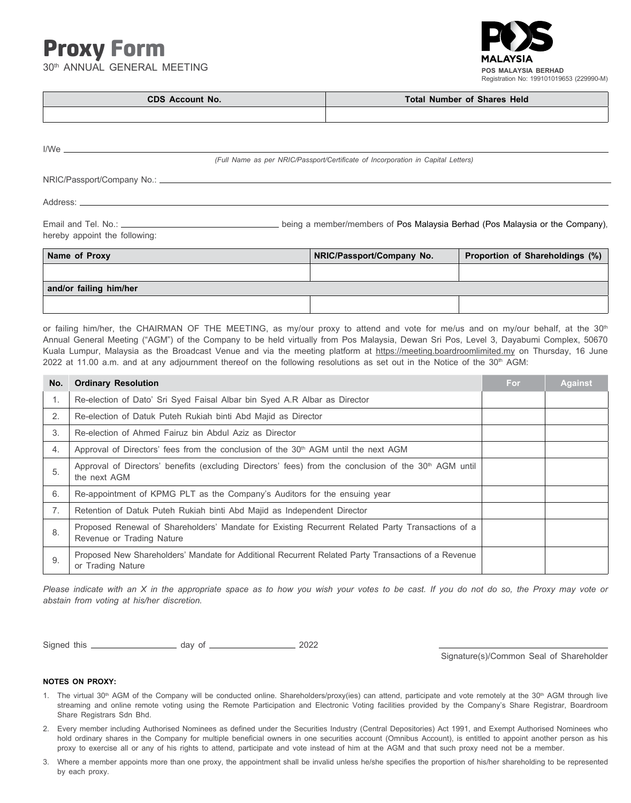# Proxy Form

**and/or failing him/her**

30th ANNUAL GENERAL MEETING



| <b>CDS Account No.</b> | <b>Total Number of Shares Held</b> |  |
|------------------------|------------------------------------|--|
|                        |                                    |  |

|                               | (Full Name as per NRIC/Passport/Certificate of Incorporation in Capital Letters) |                           |                                 |  |  |
|-------------------------------|----------------------------------------------------------------------------------|---------------------------|---------------------------------|--|--|
|                               |                                                                                  |                           |                                 |  |  |
|                               |                                                                                  |                           |                                 |  |  |
| hereby appoint the following: | being a member/members of Pos Malaysia Berhad (Pos Malaysia or the Company),     |                           |                                 |  |  |
| Name of Proxy                 |                                                                                  | NRIC/Passport/Company No. | Proportion of Shareholdings (%) |  |  |
|                               |                                                                                  |                           |                                 |  |  |

or failing him/her, the CHAIRMAN OF THE MEETING, as my/our proxy to attend and vote for me/us and on my/our behalf, at the 30<sup>th</sup> Annual General Meeting ("AGM") of the Company to be held virtually from Pos Malaysia, Dewan Sri Pos, Level 3, Dayabumi Complex, 50670 Kuala Lumpur, Malaysia as the Broadcast Venue and via the meeting platform at https://meeting.boardroomlimited.my on Thursday, 16 June 2022 at 11.00 a.m. and at any adjournment thereof on the following resolutions as set out in the Notice of the 30th AGM:

| No. | <b>Ordinary Resolution</b>                                                                                                        | For | <b>Against</b> |
|-----|-----------------------------------------------------------------------------------------------------------------------------------|-----|----------------|
| 1.  | Re-election of Dato' Sri Syed Faisal Albar bin Syed A.R Albar as Director                                                         |     |                |
| 2.  | Re-election of Datuk Puteh Rukiah binti Abd Majid as Director                                                                     |     |                |
| 3.  | Re-election of Ahmed Fairuz bin Abdul Aziz as Director                                                                            |     |                |
| 4.  | Approval of Directors' fees from the conclusion of the $30th$ AGM until the next AGM                                              |     |                |
| 5.  | Approval of Directors' benefits (excluding Directors' fees) from the conclusion of the 30 <sup>th</sup> AGM until<br>the next AGM |     |                |
| 6.  | Re-appointment of KPMG PLT as the Company's Auditors for the ensuing year                                                         |     |                |
| 7.  | Retention of Datuk Puteh Rukiah binti Abd Majid as Independent Director                                                           |     |                |
| 8.  | Proposed Renewal of Shareholders' Mandate for Existing Recurrent Related Party Transactions of a<br>Revenue or Trading Nature     |     |                |
| 9.  | Proposed New Shareholders' Mandate for Additional Recurrent Related Party Transactions of a Revenue<br>or Trading Nature          |     |                |

*Please indicate with an X in the appropriate space as to how you wish your votes to be cast. If you do not do so, the Proxy may vote or abstain from voting at his/her discretion.*

Signed this day of 2022

Signature(s)/Common Seal of Shareholder

## **NOTES ON PROXY:**

- 1. The virtual 30<sup>th</sup> AGM of the Company will be conducted online. Shareholders/proxy(ies) can attend, participate and vote remotely at the 30<sup>th</sup> AGM through live streaming and online remote voting using the Remote Participation and Electronic Voting facilities provided by the Company's Share Registrar, Boardroom Share Registrars Sdn Bhd.
- 2. Every member including Authorised Nominees as defined under the Securities Industry (Central Depositories) Act 1991, and Exempt Authorised Nominees who hold ordinary shares in the Company for multiple beneficial owners in one securities account (Omnibus Account), is entitled to appoint another person as his proxy to exercise all or any of his rights to attend, participate and vote instead of him at the AGM and that such proxy need not be a member.
- 3. Where a member appoints more than one proxy, the appointment shall be invalid unless he/she specifies the proportion of his/her shareholding to be represented by each proxy.